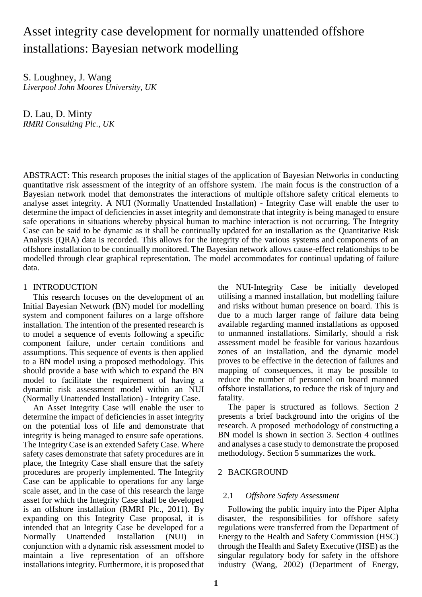# Asset integrity case development for normally unattended offshore installations: Bayesian network modelling

S. Loughney, J. Wang *Liverpool John Moores University, UK*

D. Lau, D. Minty *RMRI Consulting Plc., UK*

ABSTRACT: This research proposes the initial stages of the application of Bayesian Networks in conducting quantitative risk assessment of the integrity of an offshore system. The main focus is the construction of a Bayesian network model that demonstrates the interactions of multiple offshore safety critical elements to analyse asset integrity. A NUI (Normally Unattended Installation) - Integrity Case will enable the user to determine the impact of deficiencies in asset integrity and demonstrate that integrity is being managed to ensure safe operations in situations whereby physical human to machine interaction is not occurring. The Integrity Case can be said to be dynamic as it shall be continually updated for an installation as the Quantitative Risk Analysis (QRA) data is recorded. This allows for the integrity of the various systems and components of an offshore installation to be continually monitored. The Bayesian network allows cause-effect relationships to be modelled through clear graphical representation. The model accommodates for continual updating of failure data.

# 1 INTRODUCTION

This research focuses on the development of an Initial Bayesian Network (BN) model for modelling system and component failures on a large offshore installation. The intention of the presented research is to model a sequence of events following a specific component failure, under certain conditions and assumptions. This sequence of events is then applied to a BN model using a proposed methodology. This should provide a base with which to expand the BN model to facilitate the requirement of having a dynamic risk assessment model within an NUI (Normally Unattended Installation) - Integrity Case.

An Asset Integrity Case will enable the user to determine the impact of deficiencies in asset integrity on the potential loss of life and demonstrate that integrity is being managed to ensure safe operations. The Integrity Case is an extended Safety Case. Where safety cases demonstrate that safety procedures are in place, the Integrity Case shall ensure that the safety procedures are properly implemented. The Integrity Case can be applicable to operations for any large scale asset, and in the case of this research the large asset for which the Integrity Case shall be developed is an offshore installation (RMRI Plc., 2011). By expanding on this Integrity Case proposal, it is intended that an Integrity Case be developed for a Normally Unattended Installation (NUI) in conjunction with a dynamic risk assessment model to maintain a live representation of an offshore installations integrity. Furthermore, it is proposed that

the NUI-Integrity Case be initially developed utilising a manned installation, but modelling failure and risks without human presence on board. This is due to a much larger range of failure data being available regarding manned installations as opposed to unmanned installations. Similarly, should a risk assessment model be feasible for various hazardous zones of an installation, and the dynamic model proves to be effective in the detection of failures and mapping of consequences, it may be possible to reduce the number of personnel on board manned offshore installations, to reduce the risk of injury and fatality.

The paper is structured as follows. Section 2 presents a brief background into the origins of the research. A proposed methodology of constructing a BN model is shown in section 3. Section 4 outlines and analyses a case study to demonstrate the proposed methodology. Section 5 summarizes the work.

# 2 BACKGROUND

# 2.1 *Offshore Safety Assessment*

Following the public inquiry into the Piper Alpha disaster, the responsibilities for offshore safety regulations were transferred from the Department of Energy to the Health and Safety Commission (HSC) through the Health and Safety Executive (HSE) as the singular regulatory body for safety in the offshore industry (Wang, 2002) (Department of Energy,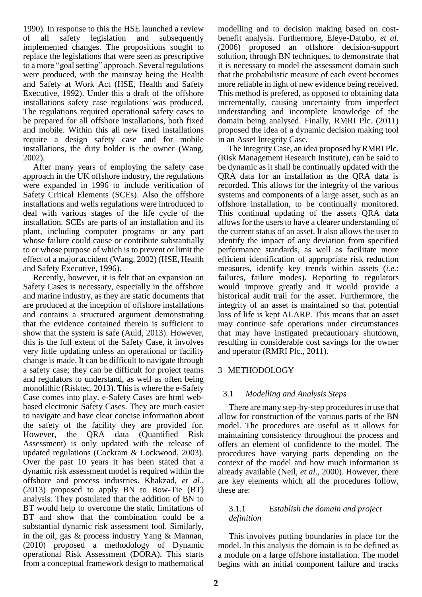1990). In response to this the HSE launched a review of all safety legislation and subsequently implemented changes. The propositions sought to replace the legislations that were seen as prescriptive to a more "goal setting" approach. Several regulations were produced, with the mainstay being the Health and Safety at Work Act (HSE, Health and Safety Executive, 1992). Under this a draft of the offshore installations safety case regulations was produced. The regulations required operational safety cases to be prepared for all offshore installations, both fixed and mobile. Within this all new fixed installations require a design safety case and for mobile installations, the duty holder is the owner (Wang, 2002).

After many years of employing the safety case approach in the UK offshore industry, the regulations were expanded in 1996 to include verification of Safety Critical Elements (SCEs). Also the offshore installations and wells regulations were introduced to deal with various stages of the life cycle of the installation. SCEs are parts of an installation and its plant, including computer programs or any part whose failure could cause or contribute substantially to or whose purpose of which is to prevent or limit the effect of a major accident (Wang, 2002) (HSE, Health and Safety Executive, 1996).

Recently, however, it is felt that an expansion on Safety Cases is necessary, especially in the offshore and marine industry, as they are static documents that are produced at the inception of offshore installations and contains a structured argument demonstrating that the evidence contained therein is sufficient to show that the system is safe (Auld, 2013). However, this is the full extent of the Safety Case, it involves very little updating unless an operational or facility change is made. It can be difficult to navigate through a safety case; they can be difficult for project teams and regulators to understand, as well as often being monolithic (Risktec, 2013). This is where the e-Safety Case comes into play. e-Safety Cases are html webbased electronic Safety Cases. They are much easier to navigate and have clear concise information about the safety of the facility they are provided for. However, the QRA data (Quantified Risk Assessment) is only updated with the release of updated regulations (Cockram & Lockwood, 2003). Over the past 10 years it has been stated that a dynamic risk assessment model is required within the offshore and process industries. Khakzad, *et al*., (2013) proposed to apply BN to Bow-Tie (BT) analysis. They postulated that the addition of BN to BT would help to overcome the static limitations of BT and show that the combination could be a substantial dynamic risk assessment tool. Similarly, in the oil, gas & process industry Yang & Mannan, (2010) proposed a methodology of Dynamic operational Risk Assessment (DORA). This starts from a conceptual framework design to mathematical

modelling and to decision making based on costbenefit analysis. Furthermore, Eleye-Datubo, *et al*. (2006) proposed an offshore decision-support solution, through BN techniques, to demonstrate that it is necessary to model the assessment domain such that the probabilistic measure of each event becomes more reliable in light of new evidence being received. This method is prefered, as opposed to obtaining data incrementally, causing uncertainty from imperfect understanding and incomplete knowledge of the domain being analysed. Finally, RMRI Plc. (2011) proposed the idea of a dynamic decision making tool in an Asset Integrity Case.

The Integrity Case, an idea proposed by RMRI Plc. (Risk Management Research Institute), can be said to be dynamic as it shall be continually updated with the QRA data for an installation as the QRA data is recorded. This allows for the integrity of the various systems and components of a large asset, such as an offshore installation, to be continually monitored. This continual updating of the assets QRA data allows for the users to have a clearer understanding of the current status of an asset. It also allows the user to identify the impact of any deviation from specified performance standards, as well as facilitate more efficient identification of appropriate risk reduction measures, identify key trends within assets (*i.e.*: failures, failure modes). Reporting to regulators would improve greatly and it would provide a historical audit trail for the asset. Furthermore, the integrity of an asset is maintained so that potential loss of life is kept ALARP. This means that an asset may continue safe operations under circumstances that may have instigated precautionary shutdown, resulting in considerable cost savings for the owner and operator (RMRI Plc., 2011).

# 3 METHODOLOGY

# 3.1 *Modelling and Analysis Steps*

There are many step-by-step procedures in use that allow for construction of the various parts of the BN model. The procedures are useful as it allows for maintaining consistency throughout the process and offers an element of confidence to the model. The procedures have varying parts depending on the context of the model and how much information is already available (Neil, *et al*., 2000). However, there are key elements which all the procedures follow, these are:

# 3.1.1 *Establish the domain and project definition*

This involves putting boundaries in place for the model. In this analysis the domain is to be defined as a module on a large offshore installation. The model begins with an initial component failure and tracks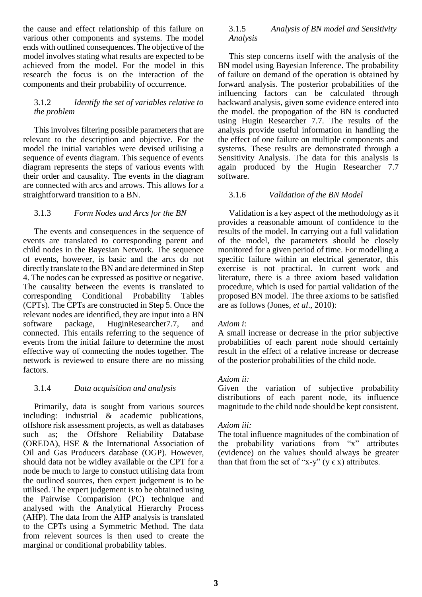the cause and effect relationship of this failure on various other components and systems. The model ends with outlined consequences. The objective of the model involves stating what results are expected to be achieved from the model. For the model in this research the focus is on the interaction of the components and their probability of occurrence.

## 3.1.2 *Identify the set of variables relative to the problem*

This involves filtering possible parameters that are relevant to the description and objective. For the model the initial variables were devised utilising a sequence of events diagram. This sequence of events diagram represents the steps of various events with their order and causality. The events in the diagram are connected with arcs and arrows. This allows for a straightforward transition to a BN.

# 3.1.3 *Form Nodes and Arcs for the BN*

The events and consequences in the sequence of events are translated to corresponding parent and child nodes in the Bayesian Network. The sequence of events, however, is basic and the arcs do not directly translate to the BN and are determined in Step 4. The nodes can be expressed as positive or negative. The causality between the events is translated to corresponding Conditional Probability Tables (CPTs). The CPTs are constructed in Step 5. Once the relevant nodes are identified, they are input into a BN software package, HuginResearcher7.7, and connected. This entails referring to the sequence of events from the initial failure to determine the most effective way of connecting the nodes together. The network is reviewed to ensure there are no missing factors.

# 3.1.4 *Data acquisition and analysis*

Primarily, data is sought from various sources including: industrial & academic publications, offshore risk assessment projects, as well as databases such as; the Offshore Reliability Database (OREDA), HSE & the International Association of Oil and Gas Producers database (OGP). However, should data not be widley available or the CPT for a node be much to large to constuct utilising data from the outlined sources, then expert judgement is to be utilised. The expert judgement is to be obtained using the Pairwise Comparision (PC) technique and analysed with the Analytical Hierarchy Process (AHP). The data from the AHP analysis is translated to the CPTs using a Symmetric Method. The data from relevent sources is then used to create the marginal or conditional probability tables.

# 3.1.5 *Analysis of BN model and Sensitivity Analysis*

This step concerns itself with the analysis of the BN model using Bayesian Inference. The probability of failure on demand of the operation is obtained by forward analysis. The posterior probabilities of the influencing factors can be calculated through backward analysis, given some evidence entered into the model. the propogation of the BN is conducted using Hugin Researcher 7.7. The results of the analysis provide useful information in handling the the effect of one failure on multiple components and systems. These results are demonstrated through a Sensitivity Analysis. The data for this analysis is again produced by the Hugin Researcher 7.7 software.

# 3.1.6 *Validation of the BN Model*

Validation is a key aspect of the methodology as it provides a reasonable amount of confidence to the results of the model. In carrying out a full validation of the model, the parameters should be closely monitored for a given period of time. For modelling a specific failure within an electrical generator, this exercise is not practical. In current work and literature, there is a three axiom based validation procedure, which is used for partial validation of the proposed BN model. The three axioms to be satisfied are as follows (Jones, *et al*., 2010):

# *Axiom i*:

A small increase or decrease in the prior subjective probabilities of each parent node should certainly result in the effect of a relative increase or decrease of the posterior probabilities of the child node.

# *Axiom ii:*

Given the variation of subjective probability distributions of each parent node, its influence magnitude to the child node should be kept consistent.

# *Axiom iii:*

The total influence magnitudes of the combination of the probability variations from "x" attributes (evidence) on the values should always be greater than that from the set of "x-y" ( $y \in x$ ) attributes.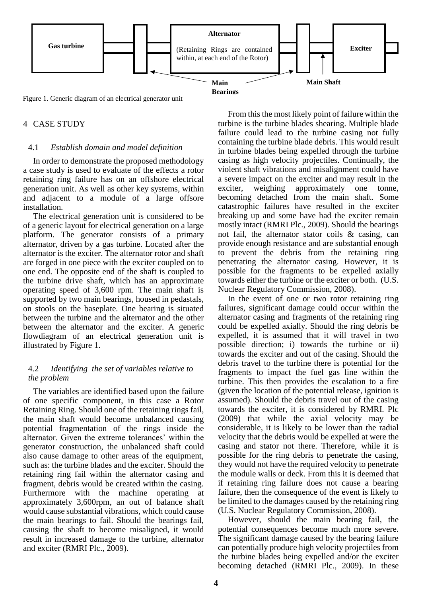

Figure 1. Generic diagram of an electrical generator unit

## 4 CASE STUDY

## 4.1 *Establish domain and model definition*

In order to demonstrate the proposed methodology a case study is used to evaluate of the effects a rotor retaining ring failure has on an offshore electrical generation unit. As well as other key systems, within and adjacent to a module of a large offsore installation.

The electrical generation unit is considered to be of a generic layout for electrical generation on a large platform. The generator consists of a primary alternator, driven by a gas turbine. Located after the alternator is the exciter. The alternator rotor and shaft are forged in one piece with the exciter coupled on to one end. The opposite end of the shaft is coupled to the turbine drive shaft, which has an approximate operating speed of 3,600 rpm. The main shaft is supported by two main bearings, housed in pedastals, on stools on the baseplate. One bearing is situated between the turbine and the alternator and the other between the alternator and the exciter. A generic flowdiagram of an electrical generation unit is illustrated by Figure 1.

## 4.2 *Identifying the set of variables relative to the problem*

The variables are identified based upon the failure of one specific component, in this case a Rotor Retaining Ring. Should one of the retaining rings fail, the main shaft would become unbalanced causing potential fragmentation of the rings inside the alternator. Given the extreme tolerances' within the generator construction, the unbalanced shaft could also cause damage to other areas of the equipment, such as: the turbine blades and the exciter. Should the retaining ring fail within the alternator casing and fragment, debris would be created within the casing. Furthermore with the machine operating at approximately 3,600rpm, an out of balance shaft would cause substantial vibrations, which could cause the main bearings to fail. Should the bearings fail, causing the shaft to become misaligned, it would result in increased damage to the turbine, alternator and exciter (RMRI Plc., 2009).

From this the most likely point of failure within the turbine is the turbine blades shearing. Multiple blade failure could lead to the turbine casing not fully containing the turbine blade debris. This would result in turbine blades being expelled through the turbine casing as high velocity projectiles. Continually, the violent shaft vibrations and misalignment could have a severe impact on the exciter and may result in the exciter, weighing approximately one tonne, becoming detached from the main shaft. Some catastrophic failures have resulted in the exciter breaking up and some have had the exciter remain mostly intact (RMRI Plc., 2009). Should the bearings not fail, the alternator stator coils & casing, can provide enough resistance and are substantial enough to prevent the debris from the retaining ring penetrating the alternator casing. However, it is possible for the fragments to be expelled axially towards either the turbine or the exciter or both. (U.S. Nuclear Regulatory Commission, 2008).

In the event of one or two rotor retaining ring failures, significant damage could occur within the alternator casing and fragments of the retaining ring could be expelled axially. Should the ring debris be expelled, it is assumed that it will travel in two possible direction; i) towards the turbine or ii) towards the exciter and out of the casing. Should the debris travel to the turbine there is potential for the fragments to impact the fuel gas line within the turbine. This then provides the escalation to a fire (given the location of the potential release, ignition is assumed). Should the debris travel out of the casing towards the exciter, it is considered by RMRI. Plc (2009) that while the axial velocity may be considerable, it is likely to be lower than the radial velocity that the debris would be expelled at were the casing and stator not there. Therefore, while it is possible for the ring debris to penetrate the casing, they would not have the required velocity to penetrate the module walls or deck. From this it is deemed that if retaining ring failure does not cause a bearing failure, then the consequence of the event is likely to be limited to the damages caused by the retaining ring (U.S. Nuclear Regulatory Commission, 2008).

However, should the main bearing fail, the potential consequences become much more severe. The significant damage caused by the bearing failure can potentially produce high velocity projectiles from the turbine blades being expelled and/or the exciter becoming detached (RMRI Plc., 2009). In these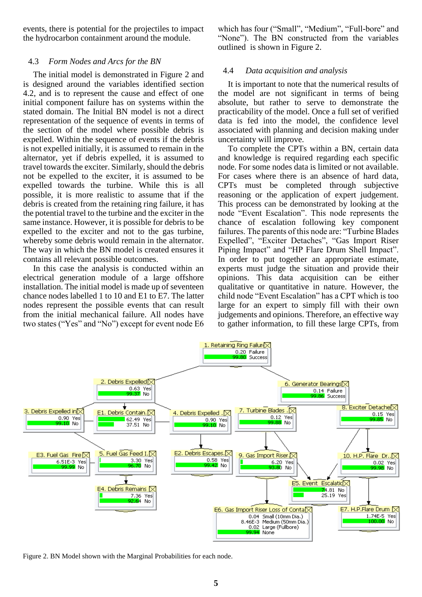events, there is potential for the projectiles to impact the hydrocarbon containment around the module.

## 4.3 *Form Nodes and Arcs for the BN*

The initial model is demonstrated in Figure 2 and is designed around the variables identified section 4.2, and is to represent the cause and effect of one initial component failure has on systems within the stated domain. The Initial BN model is not a direct representation of the sequence of events in terms of the section of the model where possible debris is expelled. Within the sequence of events if the debris is not expelled initially, it is assumed to remain in the alternator, yet if debris expelled, it is assumed to travel towards the exciter. Similarly, should the debris not be expelled to the exciter, it is assumed to be expelled towards the turbine. While this is all possible, it is more realistic to assume that if the debris is created from the retaining ring failure, it has the potential travel to the turbine and the exciter in the same instance. However, it is possible for debris to be expelled to the exciter and not to the gas turbine, whereby some debris would remain in the alternator. The way in which the BN model is created ensures it contains all relevant possible outcomes.

In this case the analysis is conducted within an electrical generation module of a large offshore installation. The initial model is made up of seventeen chance nodes labelled 1 to 10 and E1 to E7. The latter nodes represent the possible events that can result from the initial mechanical failure. All nodes have two states ("Yes" and "No") except for event node E6

which has four ("Small", "Medium", "Full-bore" and "None"). The BN constructed from the variables outlined is shown in Figure 2.

## 4.4 *Data acquisition and analysis*

It is important to note that the numerical results of the model are not significant in terms of being absolute, but rather to serve to demonstrate the practicability of the model. Once a full set of verified data is fed into the model, the confidence level associated with planning and decision making under uncertainty will improve.

To complete the CPTs within a BN, certain data and knowledge is required regarding each specific node. For some nodes data is limited or not available. For cases where there is an absence of hard data, CPTs must be completed through subjective reasoning or the application of expert judgement. This process can be demonstrated by looking at the node "Event Escalation". This node represents the chance of escalation following key component failures. The parents of this node are: "Turbine Blades Expelled", "Exciter Detaches", "Gas Import Riser Piping Impact" and "HP Flare Drum Shell Impact". In order to put together an appropriate estimate, experts must judge the situation and provide their opinions. This data acquisition can be either qualitative or quantitative in nature. However, the child node "Event Escalation" has a CPT which is too large for an expert to simply fill with their own judgements and opinions. Therefore, an effective way to gather information, to fill these large CPTs, from



Figure 2. BN Model shown with the Marginal Probabilities for each node.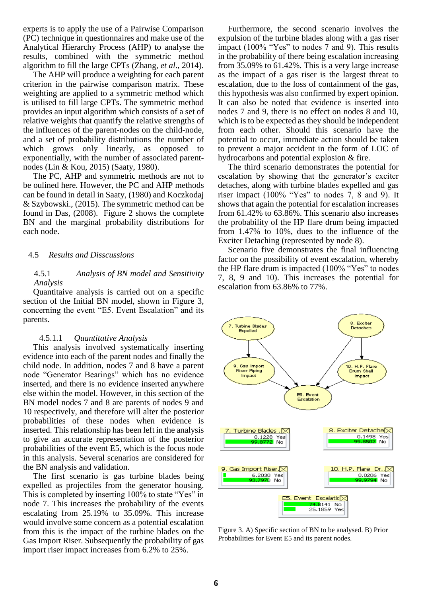experts is to apply the use of a Pairwise Comparison (PC) technique in questionnaires and make use of the Analytical Hierarchy Process (AHP) to analyse the results, combined with the symmetric method algorithm to fill the large CPTs (Zhang, *et al*., 2014).

The AHP will produce a weighting for each parent criterion in the pairwise comparison matrix. These weighting are applied to a symmetric method which is utilised to fill large CPTs. The symmetric method provides an input algorithm which consists of a set of relative weights that quantify the relative strengths of the influences of the parent-nodes on the child-node, and a set of probability distributions the number of which grows only linearly, as opposed to exponentially, with the number of associated parentnodes (Lin & Kou, 2015) (Saaty, 1980).

The PC, AHP and symmetric methods are not to be oulined here. However, the PC and AHP methods can be found in detail in Saaty, (1980) and Koczkodaj & Szybowski., (2015). The symmetric method can be found in Das, (2008). Figure 2 shows the complete BN and the marginal probability distributions for each node.

## 4.5 *Results and Disscussions*

## 4.5.1 *Analysis of BN model and Sensitivity Analysis*

Quantitaive analysis is carried out on a specific section of the Initial BN model, shown in Figure 3, concerning the event "E5. Event Escalation" and its parents.

## 4.5.1.1 *Quantitative Analysis*

This analysis involved systematically inserting evidence into each of the parent nodes and finally the child node. In addition, nodes 7 and 8 have a parent node "Generator Bearings" which has no evidence inserted, and there is no evidence inserted anywhere else within the model. However, in this section of the BN model nodes 7 and 8 are parents of nodes 9 and 10 respectively, and therefore will alter the posterior probabilities of these nodes when evidence is inserted. This relationship has been left in the analysis to give an accurate representation of the posterior probabilities of the event E5, which is the focus node in this analysis. Several scenarios are considered for the BN analysis and validation.

The first scenario is gas turbine blades being expelled as projectiles from the generator housing. This is completed by inserting 100% to state "Yes" in node 7. This increases the probability of the events escalating from 25.19% to 35.09%. This increase would involve some concern as a potential escalation from this is the impact of the turbine blades on the Gas Import Riser. Subsequently the probability of gas import riser impact increases from 6.2% to 25%.

Furthermore, the second scenario involves the expulsion of the turbine blades along with a gas riser impact (100% "Yes" to nodes 7 and 9). This results in the probability of there being escalation increasing from 35.09% to 61.42%. This is a very large increase as the impact of a gas riser is the largest threat to escalation, due to the loss of containment of the gas, this hypothesis was also confirmed by expert opinion. It can also be noted that evidence is inserted into nodes 7 and 9, there is no effect on nodes 8 and 10, which is to be expected as they should be independent from each other. Should this scenario have the potential to occur, immediate action should be taken to prevent a major accident in the form of LOC of hydrocarbons and potential explosion & fire.

The third scenario demonstrates the potential for escalation by showing that the generator's exciter detaches, along with turbine blades expelled and gas riser impact  $(100\%$  "Yes" to nodes 7, 8 and 9). It shows that again the potential for escalation increases from 61.42% to 63.86%. This scenario also increases the probability of the HP flare drum being impacted from 1.47% to 10%, dues to the influence of the Exciter Detaching (represented by node 8).

Scenario five demonstrates the final influencing factor on the possibility of event escalation, whereby the HP flare drum is impacted (100% "Yes" to nodes 7, 8, 9 and 10). This increases the potential for escalation from 63.86% to 77%.



Figure 3. A) Specific section of BN to be analysed. B) Prior Probabilities for Event E5 and its parent nodes.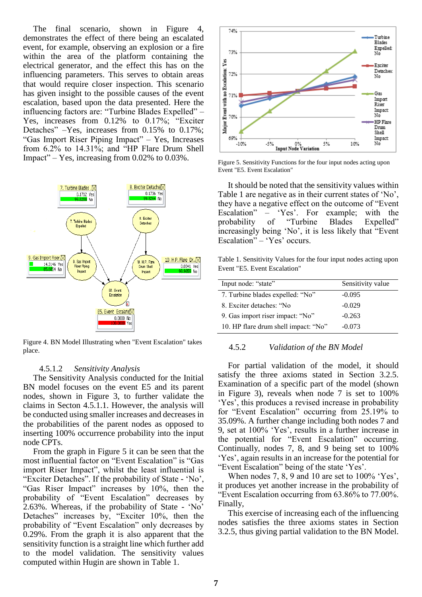The final scenario, shown in Figure 4, demonstrates the effect of there being an escalated event, for example, observing an explosion or a fire within the area of the platform containing the electrical generator, and the effect this has on the influencing parameters. This serves to obtain areas that would require closer inspection. This scenario has given insight to the possible causes of the event escalation, based upon the data presented. Here the influencing factors are: "Turbine Blades Expelled" – Yes, increases from 0.12% to 0.17%; "Exciter Detaches" –Yes, increases from 0.15% to 0.17%; "Gas Import Riser Piping Impact" – Yes, Increases from 6.2% to 14.31%; and "HP Flare Drum Shell Impact" – Yes, increasing from 0.02% to 0.03%.



Figure 4. BN Model Illustrating when "Event Escalation" takes place.

#### 4.5.1.2 *Sensitivity Analysis*

The Sensitivity Analysis conducted for the Initial BN model focuses on the event E5 and its parent nodes, shown in Figure 3, to further validate the claims in Secton 4.5.1.1. However, the analysis will be conducted using smaller increases and decreases in the probabilities of the parent nodes as opposed to inserting 100% occurrence probability into the input node CPTs.

From the graph in Figure 5 it can be seen that the most influential factor on "Event Escalation" is "Gas import Riser Impact", whilst the least influential is "Exciter Detaches". If the probability of State - 'No', "Gas Riser Impact" increases by 10%, then the probability of "Event Escalation" decreases by 2.63%. Whereas, if the probability of State - 'No' Detaches" increases by, "Exciter 10%, then the probability of "Event Escalation" only decreases by 0.29%. From the graph it is also apparent that the sensitivity function is a straight line which further add to the model validation. The sensitivity values computed within Hugin are shown in Table 1.



Figure 5. Sensitivity Functions for the four input nodes acting upon Event "E5. Event Escalation"

It should be noted that the sensitivity values within Table 1 are negative as in their current states of 'No', they have a negative effect on the outcome of "Event Escalation" – 'Yes'. For example; with the probability of "Turbine Blades Expelled" probability of "Turbine Blades Expelled" increasingly being 'No', it is less likely that "Event Escalation" – 'Yes' occurs.

Table 1. Sensitivity Values for the four input nodes acting upon Event "E5. Event Escalation"

| Input node: "state"                  | Sensitivity value |
|--------------------------------------|-------------------|
| 7. Turbine blades expelled: "No"     | $-0.095$          |
| 8. Exciter detaches: "No             | $-0.029$          |
| 9. Gas import riser impact: "No"     | $-0.263$          |
| 10. HP flare drum shell impact: "No" | $-0.073$          |

## 4.5.2 *Validation of the BN Model*

For partial validation of the model, it should satisfy the three axioms stated in Section 3.2.5. Examination of a specific part of the model (shown in Figure 3), reveals when node 7 is set to 100% 'Yes', this produces a revised increase in probability for "Event Escalation" occurring from 25.19% to 35.09%. A further change including both nodes 7 and 9, set at 100% 'Yes', results in a further increase in the potential for "Event Escalation" occurring. Continually, nodes 7, 8, and 9 being set to 100% 'Yes', again results in an increase for the potential for "Event Escalation" being of the state 'Yes'.

When nodes 7, 8, 9 and 10 are set to 100% 'Yes', it produces yet another increase in the probability of "Event Escalation occurring from 63.86% to 77.00%. Finally,

This exercise of increasing each of the influencing nodes satisfies the three axioms states in Section 3.2.5, thus giving partial validation to the BN Model.